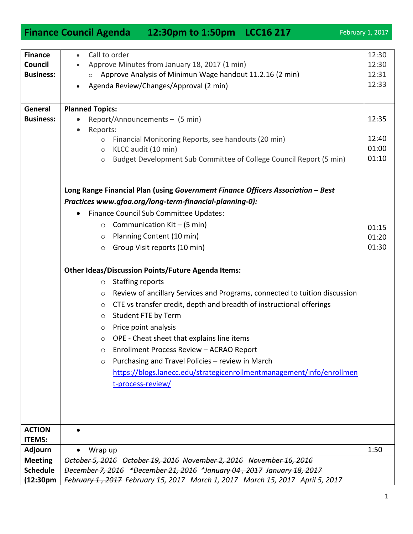| Finance Council Agenda 12:30pm to 1:50pm LCC16 217                                                                                                                                 | February 1, 2017 |
|------------------------------------------------------------------------------------------------------------------------------------------------------------------------------------|------------------|
|                                                                                                                                                                                    |                  |
| Call to order<br><b>Finance</b><br>$\bullet$                                                                                                                                       | 12:30            |
| Approve Minutes from January 18, 2017 (1 min)<br>Council<br>Approve Analysis of Minimun Wage handout 11.2.16 (2 min)<br><b>Business:</b><br>$\circ$                                | 12:30<br>12:31   |
| Agenda Review/Changes/Approval (2 min)                                                                                                                                             | 12:33            |
|                                                                                                                                                                                    |                  |
| <b>Planned Topics:</b><br>General                                                                                                                                                  |                  |
| <b>Business:</b><br>Report/Announcements - (5 min)                                                                                                                                 | 12:35            |
| Reports:<br>$\bullet$                                                                                                                                                              |                  |
| Financial Monitoring Reports, see handouts (20 min)<br>$\circ$                                                                                                                     | 12:40            |
| KLCC audit (10 min)<br>$\circlearrowright$                                                                                                                                         | 01:00<br>01:10   |
| Budget Development Sub Committee of College Council Report (5 min)<br>$\bigcirc$                                                                                                   |                  |
|                                                                                                                                                                                    |                  |
| Long Range Financial Plan (using Government Finance Officers Association - Best                                                                                                    |                  |
| Practices www.gfoa.org/long-term-financial-planning-0):                                                                                                                            |                  |
| Finance Council Sub Committee Updates:<br>$\bullet$                                                                                                                                |                  |
| Communication Kit - (5 min)<br>$\circ$                                                                                                                                             | 01:15            |
| Planning Content (10 min)<br>$\circ$                                                                                                                                               | 01:20            |
| Group Visit reports (10 min)<br>O                                                                                                                                                  | 01:30            |
| <b>Other Ideas/Discussion Points/Future Agenda Items:</b>                                                                                                                          |                  |
| <b>Staffing reports</b><br>$\circ$                                                                                                                                                 |                  |
| Review of ancillary Services and Programs, connected to tuition discussion<br>$\circ$                                                                                              |                  |
| CTE vs transfer credit, depth and breadth of instructional offerings<br>O                                                                                                          |                  |
| Student FTE by Term<br>$\circ$                                                                                                                                                     |                  |
| Price point analysis<br>∩                                                                                                                                                          |                  |
| OPE - Cheat sheet that explains line items<br>$\circ$                                                                                                                              |                  |
| Enrollment Process Review - ACRAO Report<br>$\circ$                                                                                                                                |                  |
| Purchasing and Travel Policies - review in March<br>$\circ$                                                                                                                        |                  |
| https://blogs.lanecc.edu/strategicenrollmentmanagement/info/enrollmen                                                                                                              |                  |
| t-process-review/                                                                                                                                                                  |                  |
|                                                                                                                                                                                    |                  |
|                                                                                                                                                                                    |                  |
|                                                                                                                                                                                    |                  |
| <b>ACTION</b>                                                                                                                                                                      |                  |
| <b>ITEMS:</b>                                                                                                                                                                      |                  |
| <b>Adjourn</b><br>Wrap up                                                                                                                                                          | 1:50             |
| October 5, 2016 October 19, 2016 November 2, 2016 November 16, 2016<br><b>Meeting</b><br>December 7, 2016 *December 21, 2016 *January 04, 2017 January 18, 2017<br><b>Schedule</b> |                  |